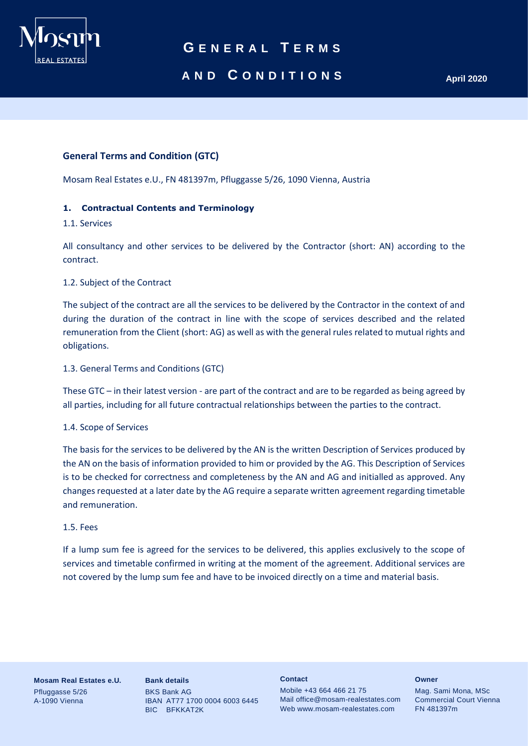

# **AND C O N D I T I O N S April 2020**

### **General Terms and Condition (GTC)**

Mosam Real Estates e.U., FN 481397m, Pfluggasse 5/26, 1090 Vienna, Austria

#### **1. Contractual Contents and Terminology**

#### 1.1. Services

All consultancy and other services to be delivered by the Contractor (short: AN) according to the contract.

#### 1.2. Subject of the Contract

The subject of the contract are all the services to be delivered by the Contractor in the context of and during the duration of the contract in line with the scope of services described and the related remuneration from the Client (short: AG) as well as with the general rules related to mutual rights and obligations.

#### 1.3. General Terms and Conditions (GTC)

These GTC – in their latest version - are part of the contract and are to be regarded as being agreed by all parties, including for all future contractual relationships between the parties to the contract.

#### 1.4. Scope of Services

The basis for the services to be delivered by the AN is the written Description of Services produced by the AN on the basis of information provided to him or provided by the AG. This Description of Services is to be checked for correctness and completeness by the AN and AG and initialled as approved. Any changes requested at a later date by the AG require a separate written agreement regarding timetable and remuneration.

#### 1.5. Fees

If a lump sum fee is agreed for the services to be delivered, this applies exclusively to the scope of services and timetable confirmed in writing at the moment of the agreement. Additional services are not covered by the lump sum fee and have to be invoiced directly on a time and material basis.

**Mosam Real Estates e.U.** Pfluggasse 5/26 A-1090 Vienna

**Bank details** BKS Bank AG IBAN AT77 1700 0004 6003 6445 BIC BFKKAT2K

#### **Contact**

Mobile +43 664 466 21 75 Mail office@mosam-realestates.com Web www.mosam-realestates.com

#### **Owner**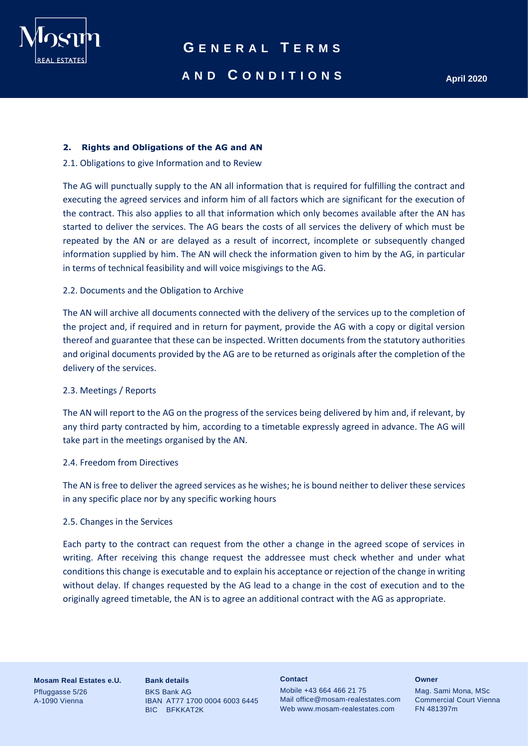

# **AND C O N D I T I O N S April 2020**

#### **2. Rights and Obligations of the AG and AN**

#### 2.1. Obligations to give Information and to Review

The AG will punctually supply to the AN all information that is required for fulfilling the contract and executing the agreed services and inform him of all factors which are significant for the execution of the contract. This also applies to all that information which only becomes available after the AN has started to deliver the services. The AG bears the costs of all services the delivery of which must be repeated by the AN or are delayed as a result of incorrect, incomplete or subsequently changed information supplied by him. The AN will check the information given to him by the AG, in particular in terms of technical feasibility and will voice misgivings to the AG.

#### 2.2. Documents and the Obligation to Archive

The AN will archive all documents connected with the delivery of the services up to the completion of the project and, if required and in return for payment, provide the AG with a copy or digital version thereof and guarantee that these can be inspected. Written documents from the statutory authorities and original documents provided by the AG are to be returned as originals after the completion of the delivery of the services.

#### 2.3. Meetings / Reports

The AN will report to the AG on the progress of the services being delivered by him and, if relevant, by any third party contracted by him, according to a timetable expressly agreed in advance. The AG will take part in the meetings organised by the AN.

#### 2.4. Freedom from Directives

The AN is free to deliver the agreed services as he wishes; he is bound neither to deliver these services in any specific place nor by any specific working hours

#### 2.5. Changes in the Services

Each party to the contract can request from the other a change in the agreed scope of services in writing. After receiving this change request the addressee must check whether and under what conditions this change is executable and to explain his acceptance or rejection of the change in writing without delay. If changes requested by the AG lead to a change in the cost of execution and to the originally agreed timetable, the AN is to agree an additional contract with the AG as appropriate.

**Mosam Real Estates e.U.** Pfluggasse 5/26 A-1090 Vienna

**Bank details** BKS Bank AG IBAN AT77 1700 0004 6003 6445 BIC BFKKAT2K

#### **Contact**

Mobile +43 664 466 21 75 Mail office@mosam-realestates.com Web www.mosam-realestates.com

#### **Owner**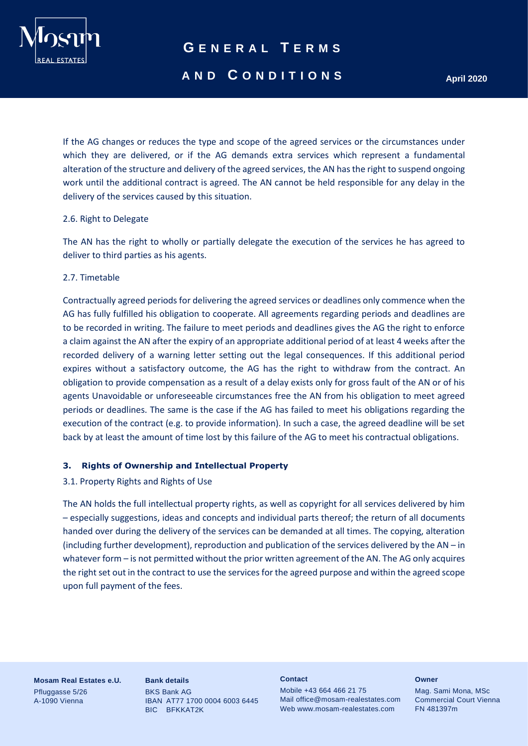

### **AND C O N D I T I O N S April 2020**

If the AG changes or reduces the type and scope of the agreed services or the circumstances under which they are delivered, or if the AG demands extra services which represent a fundamental alteration of the structure and delivery of the agreed services, the AN has the right to suspend ongoing work until the additional contract is agreed. The AN cannot be held responsible for any delay in the delivery of the services caused by this situation.

#### 2.6. Right to Delegate

The AN has the right to wholly or partially delegate the execution of the services he has agreed to deliver to third parties as his agents.

#### 2.7. Timetable

Contractually agreed periods for delivering the agreed services or deadlines only commence when the AG has fully fulfilled his obligation to cooperate. All agreements regarding periods and deadlines are to be recorded in writing. The failure to meet periods and deadlines gives the AG the right to enforce a claim against the AN after the expiry of an appropriate additional period of at least 4 weeks after the recorded delivery of a warning letter setting out the legal consequences. If this additional period expires without a satisfactory outcome, the AG has the right to withdraw from the contract. An obligation to provide compensation as a result of a delay exists only for gross fault of the AN or of his agents Unavoidable or unforeseeable circumstances free the AN from his obligation to meet agreed periods or deadlines. The same is the case if the AG has failed to meet his obligations regarding the execution of the contract (e.g. to provide information). In such a case, the agreed deadline will be set back by at least the amount of time lost by this failure of the AG to meet his contractual obligations.

#### **3. Rights of Ownership and Intellectual Property**

### 3.1. Property Rights and Rights of Use

The AN holds the full intellectual property rights, as well as copyright for all services delivered by him – especially suggestions, ideas and concepts and individual parts thereof; the return of all documents handed over during the delivery of the services can be demanded at all times. The copying, alteration (including further development), reproduction and publication of the services delivered by the AN – in whatever form – is not permitted without the prior written agreement of the AN. The AG only acquires the right set out in the contract to use the services for the agreed purpose and within the agreed scope upon full payment of the fees.

**Mosam Real Estates e.U.** Pfluggasse 5/26 A-1090 Vienna

**Bank details** BKS Bank AG IBAN AT77 1700 0004 6003 6445 BIC BFKKAT2K

#### **Contact**

Mobile +43 664 466 21 75 Mail office@mosam-realestates.com Web www.mosam-realestates.com

#### **Owner**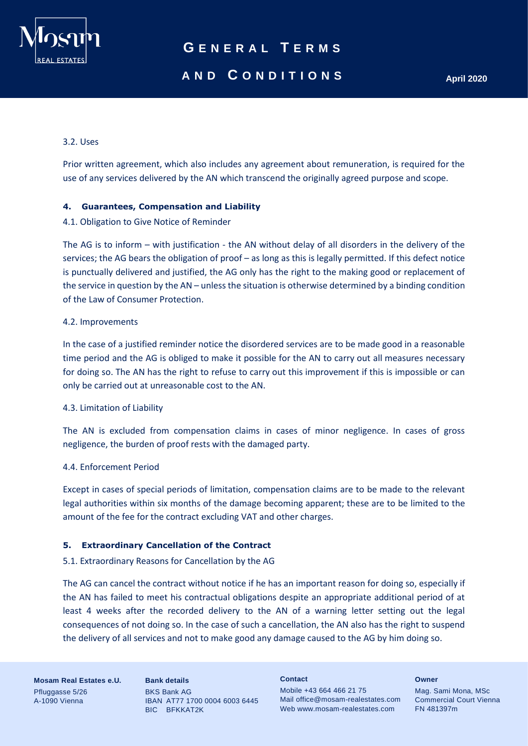

# **AND C O N D I T I O N S April 2020**

### 3.2. Uses

Prior written agreement, which also includes any agreement about remuneration, is required for the use of any services delivered by the AN which transcend the originally agreed purpose and scope.

### **4. Guarantees, Compensation and Liability**

#### 4.1. Obligation to Give Notice of Reminder

The AG is to inform – with justification - the AN without delay of all disorders in the delivery of the services; the AG bears the obligation of proof – as long as this is legally permitted. If this defect notice is punctually delivered and justified, the AG only has the right to the making good or replacement of the service in question by the AN – unless the situation is otherwise determined by a binding condition of the Law of Consumer Protection.

#### 4.2. Improvements

In the case of a justified reminder notice the disordered services are to be made good in a reasonable time period and the AG is obliged to make it possible for the AN to carry out all measures necessary for doing so. The AN has the right to refuse to carry out this improvement if this is impossible or can only be carried out at unreasonable cost to the AN.

#### 4.3. Limitation of Liability

The AN is excluded from compensation claims in cases of minor negligence. In cases of gross negligence, the burden of proof rests with the damaged party.

#### 4.4. Enforcement Period

Except in cases of special periods of limitation, compensation claims are to be made to the relevant legal authorities within six months of the damage becoming apparent; these are to be limited to the amount of the fee for the contract excluding VAT and other charges.

#### **5. Extraordinary Cancellation of the Contract**

### 5.1. Extraordinary Reasons for Cancellation by the AG

The AG can cancel the contract without notice if he has an important reason for doing so, especially if the AN has failed to meet his contractual obligations despite an appropriate additional period of at least 4 weeks after the recorded delivery to the AN of a warning letter setting out the legal consequences of not doing so. In the case of such a cancellation, the AN also has the right to suspend the delivery of all services and not to make good any damage caused to the AG by him doing so.

**Mosam Real Estates e.U.** Pfluggasse 5/26 A-1090 Vienna

**Bank details** BKS Bank AG IBAN AT77 1700 0004 6003 6445 BIC BFKKAT2K

**Contact**

Mobile +43 664 466 21 75 Mail office@mosam-realestates.com Web www.mosam-realestates.com

**Owner**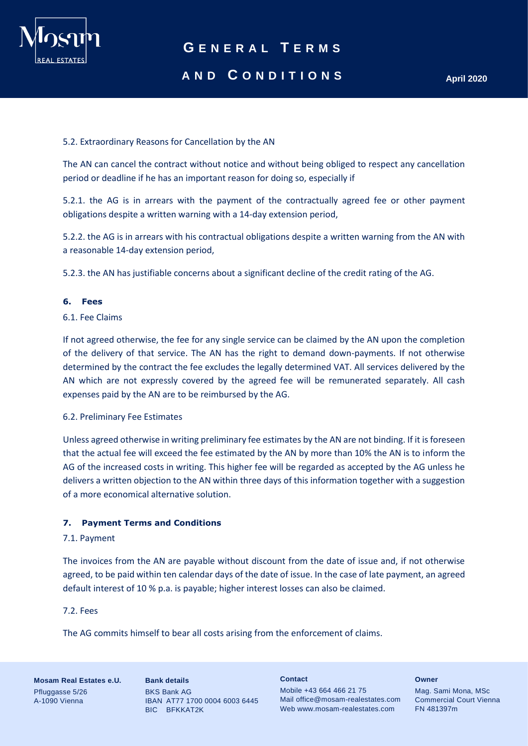

### **AND C O N D I T I O N S April 2020**

### 5.2. Extraordinary Reasons for Cancellation by the AN

The AN can cancel the contract without notice and without being obliged to respect any cancellation period or deadline if he has an important reason for doing so, especially if

5.2.1. the AG is in arrears with the payment of the contractually agreed fee or other payment obligations despite a written warning with a 14-day extension period,

5.2.2. the AG is in arrears with his contractual obligations despite a written warning from the AN with a reasonable 14-day extension period,

5.2.3. the AN has justifiable concerns about a significant decline of the credit rating of the AG.

### **6. Fees**

### 6.1. Fee Claims

If not agreed otherwise, the fee for any single service can be claimed by the AN upon the completion of the delivery of that service. The AN has the right to demand down-payments. If not otherwise determined by the contract the fee excludes the legally determined VAT. All services delivered by the AN which are not expressly covered by the agreed fee will be remunerated separately. All cash expenses paid by the AN are to be reimbursed by the AG.

#### 6.2. Preliminary Fee Estimates

Unless agreed otherwise in writing preliminary fee estimates by the AN are not binding. If it is foreseen that the actual fee will exceed the fee estimated by the AN by more than 10% the AN is to inform the AG of the increased costs in writing. This higher fee will be regarded as accepted by the AG unless he delivers a written objection to the AN within three days of this information together with a suggestion of a more economical alternative solution.

#### **7. Payment Terms and Conditions**

#### 7.1. Payment

The invoices from the AN are payable without discount from the date of issue and, if not otherwise agreed, to be paid within ten calendar days of the date of issue. In the case of late payment, an agreed default interest of 10 % p.a. is payable; higher interest losses can also be claimed.

#### 7.2. Fees

The AG commits himself to bear all costs arising from the enforcement of claims.

**Mosam Real Estates e.U.** Pfluggasse 5/26 A-1090 Vienna

**Bank details** BKS Bank AG IBAN AT77 1700 0004 6003 6445 BIC BFKKAT2K

**Contact**

Mobile +43 664 466 21 75 Mail office@mosam-realestates.com Web www.mosam-realestates.com

**Owner**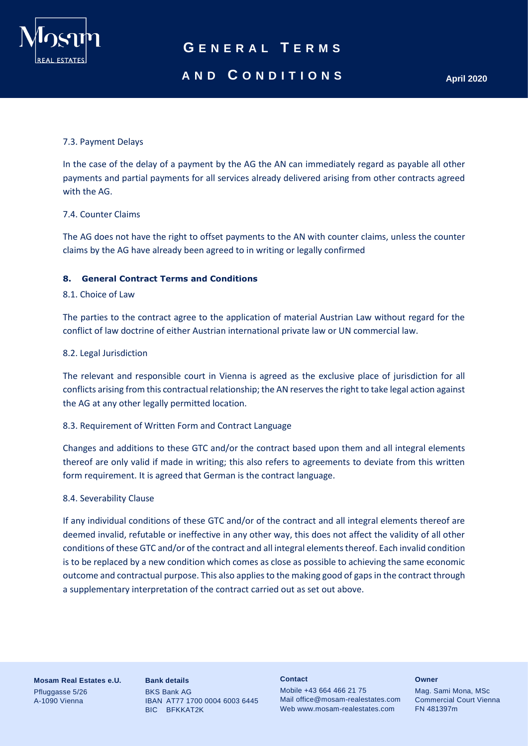

## **AND C O N D I T I O N S April 2020**

### 7.3. Payment Delays

In the case of the delay of a payment by the AG the AN can immediately regard as payable all other payments and partial payments for all services already delivered arising from other contracts agreed with the AG.

#### 7.4. Counter Claims

The AG does not have the right to offset payments to the AN with counter claims, unless the counter claims by the AG have already been agreed to in writing or legally confirmed

#### **8. General Contract Terms and Conditions**

### 8.1. Choice of Law

The parties to the contract agree to the application of material Austrian Law without regard for the conflict of law doctrine of either Austrian international private law or UN commercial law.

#### 8.2. Legal Jurisdiction

The relevant and responsible court in Vienna is agreed as the exclusive place of jurisdiction for all conflicts arising from this contractual relationship; the AN reserves the right to take legal action against the AG at any other legally permitted location.

### 8.3. Requirement of Written Form and Contract Language

Changes and additions to these GTC and/or the contract based upon them and all integral elements thereof are only valid if made in writing; this also refers to agreements to deviate from this written form requirement. It is agreed that German is the contract language.

#### 8.4. Severability Clause

If any individual conditions of these GTC and/or of the contract and all integral elements thereof are deemed invalid, refutable or ineffective in any other way, this does not affect the validity of all other conditions of these GTC and/or of the contract and all integral elements thereof. Each invalid condition is to be replaced by a new condition which comes as close as possible to achieving the same economic outcome and contractual purpose. This also applies to the making good of gaps in the contract through a supplementary interpretation of the contract carried out as set out above.

**Mosam Real Estates e.U.** Pfluggasse 5/26 A-1090 Vienna

**Bank details** BKS Bank AG IBAN AT77 1700 0004 6003 6445 BIC BFKKAT2K

#### **Contact**

Mobile +43 664 466 21 75 Mail office@mosam-realestates.com Web www.mosam-realestates.com

#### **Owner**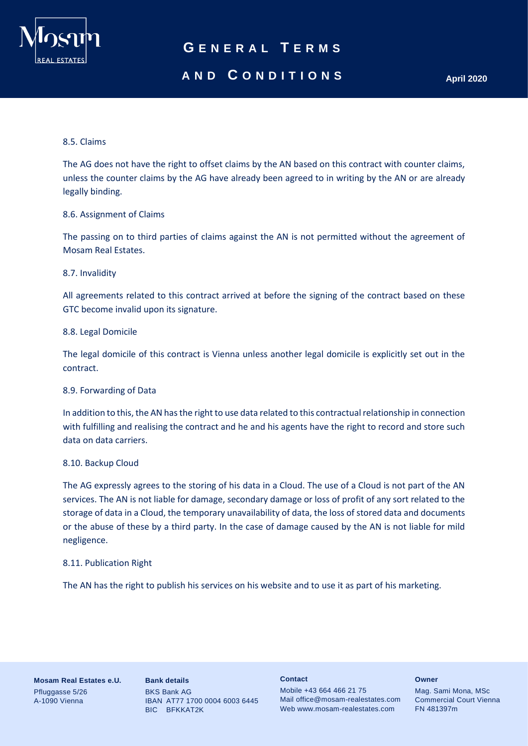

## **AND C O N D I T I O N S April 2020**

#### 8.5. Claims

The AG does not have the right to offset claims by the AN based on this contract with counter claims, unless the counter claims by the AG have already been agreed to in writing by the AN or are already legally binding.

#### 8.6. Assignment of Claims

The passing on to third parties of claims against the AN is not permitted without the agreement of Mosam Real Estates.

#### 8.7. Invalidity

All agreements related to this contract arrived at before the signing of the contract based on these GTC become invalid upon its signature.

#### 8.8. Legal Domicile

The legal domicile of this contract is Vienna unless another legal domicile is explicitly set out in the contract.

#### 8.9. Forwarding of Data

In addition to this, the AN has the right to use data related to this contractual relationship in connection with fulfilling and realising the contract and he and his agents have the right to record and store such data on data carriers.

#### 8.10. Backup Cloud

The AG expressly agrees to the storing of his data in a Cloud. The use of a Cloud is not part of the AN services. The AN is not liable for damage, secondary damage or loss of profit of any sort related to the storage of data in a Cloud, the temporary unavailability of data, the loss of stored data and documents or the abuse of these by a third party. In the case of damage caused by the AN is not liable for mild negligence.

#### 8.11. Publication Right

The AN has the right to publish his services on his website and to use it as part of his marketing.

**Mosam Real Estates e.U.** Pfluggasse 5/26 A-1090 Vienna

**Bank details** BKS Bank AG IBAN AT77 1700 0004 6003 6445 BIC BFKKAT2K

#### **Contact**

Mobile +43 664 466 21 75 Mail office@mosam-realestates.com Web www.mosam-realestates.com

#### **Owner**